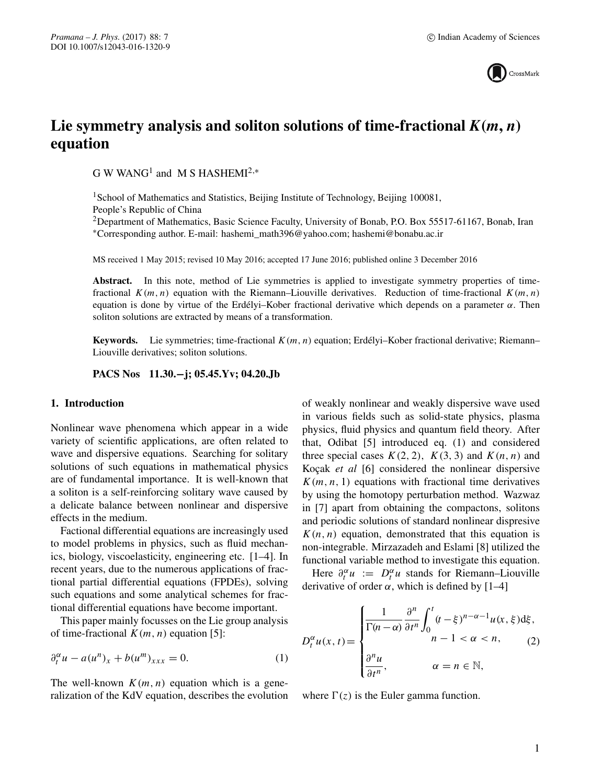

# Lie symmetry analysis and soliton solutions of time-fractional  $K(m, n)$ **equation**

G W WANG<sup>1</sup> and M S HASHEMI<sup>2,\*</sup>

<sup>1</sup>School of Mathematics and Statistics, Beijing Institute of Technology, Beijing 100081, People's Republic of China

<sup>2</sup>Department of Mathematics, Basic Science Faculty, University of Bonab, P.O. Box 55517-61167, Bonab, Iran ∗Corresponding author. E-mail: hashemi\_math396@yahoo.com; hashemi@bonabu.ac.ir

MS received 1 May 2015; revised 10 May 2016; accepted 17 June 2016; published online 3 December 2016

Abstract. In this note, method of Lie symmetries is applied to investigate symmetry properties of timefractional  $K(m, n)$  equation with the Riemann–Liouville derivatives. Reduction of time-fractional  $K(m, n)$ equation is done by virtue of the Erdélyi–Kober fractional derivative which depends on a parameter  $α$ . Then soliton solutions are extracted by means of a transformation.

**Keywords.** Lie symmetries; time-fractional  $K(m, n)$  equation; Erdélyi–Kober fractional derivative; Riemann– Liouville derivatives; soliton solutions.

**PACS Nos 11.30.−j; 05.45.Yv; 04.20.Jb**

## **1. Introduction**

Nonlinear wave phenomena which appear in a wide variety of scientific applications, are often related to wave and dispersive equations. Searching for solitary solutions of such equations in mathematical physics are of fundamental importance. It is well-known that a soliton is a self-reinforcing solitary wave caused by a delicate balance between nonlinear and dispersive effects in the medium.

Factional differential equations are increasingly used to model problems in physics, such as fluid mechanics, biology, viscoelasticity, engineering etc. [1–4]. In recent years, due to the numerous applications of fractional partial differential equations (FPDEs), solving such equations and some analytical schemes for fractional differential equations have become important.

This paper mainly focusses on the Lie group analysis of time-fractional  $K(m, n)$  equation [5]:

$$
\partial_t^{\alpha} u - a(u^n)_x + b(u^m)_{xxx} = 0. \tag{1}
$$

The well-known  $K(m, n)$  equation which is a generalization of the KdV equation, describes the evolution of weakly nonlinear and weakly dispersive wave used in various fields such as solid-state physics, plasma physics, fluid physics and quantum field theory. After that, Odibat [5] introduced eq. (1) and considered three special cases  $K(2, 2)$ ,  $K(3, 3)$  and  $K(n, n)$  and Koçak *et al* [6] considered the nonlinear dispersive  $K(m, n, 1)$  equations with fractional time derivatives by using the homotopy perturbation method. Wazwaz in [7] apart from obtaining the compactons, solitons and periodic solutions of standard nonlinear dispresive  $K(n, n)$  equation, demonstrated that this equation is non-integrable. Mirzazadeh and Eslami [8] utilized the functional variable method to investigate this equation.

Here  $\partial_t^{\alpha} u := D_t^{\alpha} u$  stands for Riemann–Liouville<br>trivative of order  $\alpha$  which is defined by [1–4]  $U_t^{\alpha} u := D_t^{\alpha}$ <br>cof order  $\alpha$ derivative of order  $\alpha$ , which is defined by [1–4]

$$
D_t^{\alpha} u(x, t) = \begin{cases} \frac{1}{\Gamma(n-\alpha)} \frac{\partial^n}{\partial t^n} \int_0^t (t-\xi)^{n-\alpha-1} u(x, \xi) d\xi, \\ n-1 < \alpha < n, \\ \frac{\partial^n u}{\partial t^n}, \qquad \alpha = n \in \mathbb{N}, \end{cases}
$$
(2)

where  $\Gamma(z)$  is the Euler gamma function.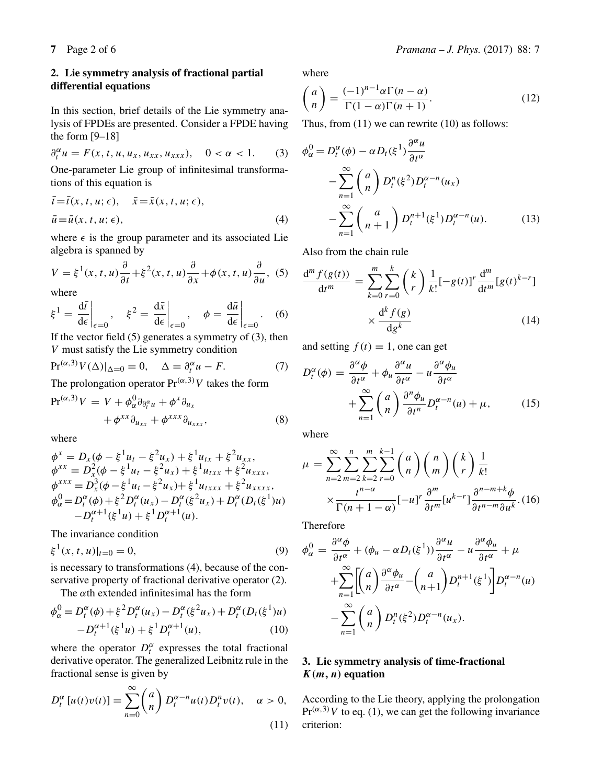## **2. Lie symmetry analysis of fractional partial differential equations**

In this section, brief details of the Lie symmetry analysis of FPDEs are presented. Consider a FPDE having the form [9–18]

$$
\partial_t^{\alpha} u = F(x, t, u, u_x, u_{xx}, u_{xxx}), \quad 0 < \alpha < 1. \tag{3}
$$

One-parameter Lie group of infinitesimal transformations of this equation is

$$
\begin{aligned} \bar{t} &= \bar{t}(x, t, u; \epsilon), & \bar{x} &= \bar{x}(x, t, u; \epsilon), \\ \bar{u} &= \bar{u}(x, t, u; \epsilon), \end{aligned} \tag{4}
$$

where  $\epsilon$  is the group parameter and its associated Lie algebra is spanned by

$$
V = \xi^{1}(x, t, u)\frac{\partial}{\partial t} + \xi^{2}(x, t, u)\frac{\partial}{\partial x} + \phi(x, t, u)\frac{\partial}{\partial u}, (5)
$$
  
where

where

$$
\xi^{1} = \frac{d\bar{t}}{d\epsilon}\bigg|_{\epsilon=0}, \quad \xi^{2} = \frac{d\bar{x}}{d\epsilon}\bigg|_{\epsilon=0}, \quad \phi = \frac{d\bar{u}}{d\epsilon}\bigg|_{\epsilon=0}.
$$
 (6)  
If the vector field (5) generates a symmetry of (3), then

V must satisfy the Lie symmetry condition

$$
\Pr^{(\alpha,3)} V(\Delta)|_{\Delta=0} = 0, \quad \Delta = \partial_t^{\alpha} u - F. \tag{7}
$$

The prolongation operator  $Pr^{(\alpha,3)}V$  takes the form

$$
\Pr^{(\alpha,3)}V = V + \phi_{\alpha}^{0} \partial_{\partial_{t}^{\alpha} u} + \phi^{x} \partial_{u_{x}} + \phi^{x} \partial_{u_{xxx}},
$$
  
+ 
$$
\phi^{xx} \partial_{u_{xx}} + \phi^{xxx} \partial_{u_{xxx}},
$$
 (8)

where

$$
\begin{aligned}\n\phi^x &= D_x(\phi - \xi^1 u_t - \xi^2 u_x) + \xi^1 u_{tx} + \xi^2 u_{xx}, \\
\phi^{xx} &= D_x^2(\phi - \xi^1 u_t - \xi^2 u_x) + \xi^1 u_{txx} + \xi^2 u_{xxx}, \\
\phi^{xxx} &= D_x^3(\phi - \xi^1 u_t - \xi^2 u_x) + \xi^1 u_{txxx} + \xi^2 u_{xxxx}, \\
\phi^0_\alpha &= D_t^\alpha(\phi) + \xi^2 D_t^\alpha(u_x) - D_t^\alpha(\xi^2 u_x) + D_t^\alpha(D_t(\xi^1)u) \\
&\quad - D_t^{\alpha+1}(\xi^1 u) + \xi^1 D_t^{\alpha+1}(u).\n\end{aligned}
$$

The invariance condition

$$
\xi^{1}(x,t,u)|_{t=0} = 0,
$$
\n(9)

is necessary to transformations (4), because of the conservative property of fractional derivative operator (2).

The  $\alpha$ th extended infinitesimal has the form

$$
\phi_{\alpha}^{0} = D_{t}^{\alpha}(\phi) + \xi^{2} D_{t}^{\alpha}(u_{x}) - D_{t}^{\alpha}(\xi^{2}u_{x}) + D_{t}^{\alpha}(D_{t}(\xi^{1})u) - D_{t}^{\alpha+1}(\xi^{1}u) + \xi^{1} D_{t}^{\alpha+1}(u), \qquad (10)
$$

where the operator  $D_t^{\alpha}$  expresses the total fractional derivative operator. The generalized Leibnitz rule in the derivative operator. The generalized Leibnitz rule in the fractional sense is given by

$$
D_t^{\alpha}[u(t)v(t)] = \sum_{n=0}^{\infty} {a \choose n} D_t^{\alpha-n} u(t) D_t^n v(t), \quad \alpha > 0,
$$
\n(11)

where

$$
\binom{a}{n} = \frac{(-1)^{n-1} \alpha \Gamma(n - \alpha)}{\Gamma(1 - \alpha) \Gamma(n + 1)}.
$$
\n(12)

Thus, from (11) we can rewrite (10) as follows:

$$
\phi_{\alpha}^{0} = D_{t}^{\alpha}(\phi) - \alpha D_{t}(\xi^{1}) \frac{\partial^{\alpha} u}{\partial t^{\alpha}}
$$

$$
- \sum_{n=1}^{\infty} {a \choose n} D_{t}^{n}(\xi^{2}) D_{t}^{\alpha-n}(u_{x})
$$

$$
- \sum_{n=1}^{\infty} {a \choose n+1} D_{t}^{n+1}(\xi^{1}) D_{t}^{\alpha-n}(u). \qquad (13)
$$

Also from the chain rule

$$
\frac{d^{m} f(g(t))}{dt^{m}} = \sum_{k=0}^{m} \sum_{r=0}^{k} {k \choose r} \frac{1}{k!} [-g(t)]^{r} \frac{d^{m}}{dt^{m}} [g(t)^{k-r}]
$$

$$
\times \frac{d^{k} f(g)}{dg^{k}} \qquad (14)
$$

and setting  $f(t) = 1$ , one can get

$$
D_t^{\alpha}(\phi) = \frac{\partial^{\alpha} \phi}{\partial t^{\alpha}} + \phi_u \frac{\partial^{\alpha} u}{\partial t^{\alpha}} - u \frac{\partial^{\alpha} \phi_u}{\partial t^{\alpha}} + \sum_{n=1}^{\infty} {a \choose n} \frac{\partial^n \phi_u}{\partial t^n} D_t^{\alpha - n}(u) + \mu,
$$
 (15)

where

$$
\mu = \sum_{n=2}^{\infty} \sum_{m=2}^{n} \sum_{k=2}^{m} \sum_{r=0}^{k-1} {a \choose n} {n \choose r} {k \choose r} \frac{1}{k!}
$$

$$
\times \frac{t^{n-\alpha}}{\Gamma(n+1-\alpha)} [-u]^r \frac{\partial^m}{\partial t^m} [u^{k-r}] \frac{\partial^{n-m+k} \phi}{\partial t^{n-m} \partial u^k} . (16)
$$

Therefore

$$
\phi_{\alpha}^{0} = \frac{\partial^{\alpha} \phi}{\partial t^{\alpha}} + (\phi_{u} - \alpha D_{t}(\xi^{1})) \frac{\partial^{\alpha} u}{\partial t^{\alpha}} - u \frac{\partial^{\alpha} \phi_{u}}{\partial t^{\alpha}} + \mu
$$

$$
+ \sum_{n=1}^{\infty} \left[ \binom{a}{n} \frac{\partial^{\alpha} \phi_{u}}{\partial t^{\alpha}} - \binom{a}{n+1} D_{t}^{n+1}(\xi^{1}) \right] D_{t}^{\alpha - n}(u)
$$

$$
- \sum_{n=1}^{\infty} \binom{a}{n} D_{t}^{n}(\xi^{2}) D_{t}^{\alpha - n}(u_{x}).
$$

# **3. Lie symmetry analysis of time-fractional** *K(m, n)* **equation**

According to the Lie theory, applying the prolongation  $Pr^{(\alpha,3)}V$  to eq. (1), we can get the following invariance<br>criterion: criterion: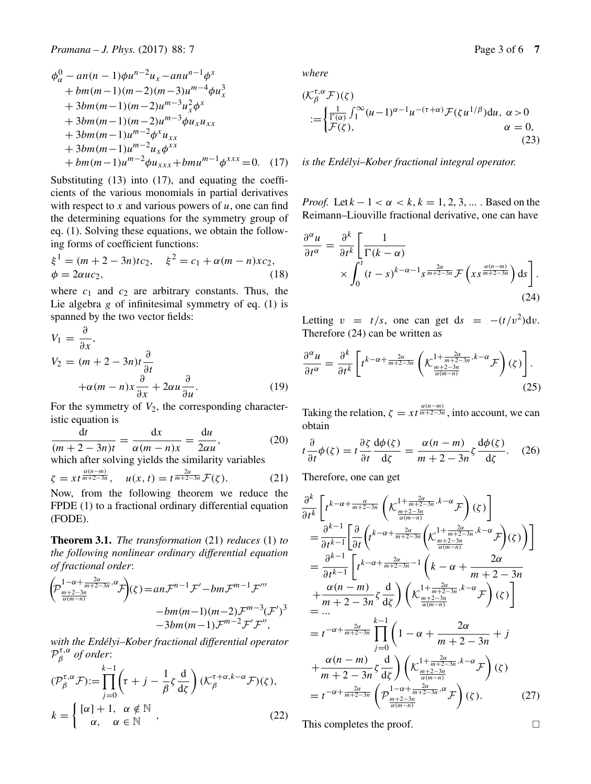$$
\phi_{\alpha}^{0} - an(n-1)\phi u^{n-2}u_{x} - anu^{n-1}\phi^{x}
$$
  
+bm(m-1)(m-2)(m-3)u<sup>m-4</sup>\phi u\_{x}^{3}  
+3bm(m-1)(m-2)u<sup>m-3</sup>u\_{x}^{2}\phi^{x}  
+3bm(m-1)(m-2)u<sup>m-3</sup>\phi u\_{x}u\_{xx}  
+3bm(m-1)u<sup>m-2</sup>\phi^{x}u\_{xx}  
+3bm(m-1)u<sup>m-2</sup>u\_{x}\phi^{xx}  
+bm(m-1)u<sup>m-2</sup>\phi u\_{xxx} + bmu<sup>m-1</sup>\phi^{xxx} = 0. (17)

Substituting (13) into (17), and equating the coefficients of the various monomials in partial derivatives with respect to x and various powers of  $u$ , one can find the determining equations for the symmetry group of eq. (1). Solving these equations, we obtain the following forms of coefficient functions:

$$
\xi^{1} = (m + 2 - 3n)tc_{2}, \quad \xi^{2} = c_{1} + \alpha(m - n)xc_{2},
$$
  
\n
$$
\phi = 2\alpha uc_{2},
$$
\n(18)

where  $c_1$  and  $c_2$  are arbitrary constants. Thus, the <br>Lie algebra g of infinitesimal symmetry of eq. (1) is Lie algebra  $g$  of infinitesimal symmetry of eq. (1) is spanned by the two vector fields:

$$
V_1 = \frac{\partial}{\partial x},
$$
  
\n
$$
V_2 = (m+2-3n)t \frac{\partial}{\partial t}
$$
  
\n
$$
+\alpha(m-n)x \frac{\partial}{\partial x} + 2\alpha u \frac{\partial}{\partial u}.
$$
 (19)

For the symmetry of  $V_2$ , the corresponding character-<br>istic equation is istic equation is

$$
\frac{dt}{(m+2-3n)t} = \frac{dx}{\alpha(m-n)x} = \frac{du}{2\alpha u},
$$
\n(20)

\nwhich after solving yields the similarity variables

$$
\zeta = xt^{\frac{\alpha(n-m)}{m+2-3n}}, \quad u(x,t) = t^{\frac{2\alpha}{m+2-3n}} \mathcal{F}(\zeta).
$$
 (21)  
Now, from the following theorem we reduce the

FPDE (1) to a fractional ordinary differential equation (FODE).

**Theorem 3.1.** *The transformation* (21) *reduces* (1) *to the following nonlinear ordinary differential equation of fractional order*:

$$
\left(\!\mathcal{P}_{\frac{m+2-3n}{\alpha(m-n)}}^{1-\alpha+\frac{2\alpha}{m+2-3n},\alpha}\mathcal{F}\!\right)\!(\zeta) =\! an\mathcal{F}^{n-1}\mathcal{F}' -bm\mathcal{F}^{m-1}\mathcal{F}'''
$$
\n
$$
-bm(m-1)(m-2)\mathcal{F}^{m-3}(\mathcal{F}')^3
$$
\n
$$
-3bm(m-1)\mathcal{F}^{m-2}\mathcal{F}'\mathcal{F}''
$$

*with the Erdélyi–Kober fractional differential operator*  $\mathcal{P}_{\beta}^{\tau,\alpha}$  of order:<br> $\frac{k-1}{\alpha}$ 

$$
(\mathcal{P}_{\beta}^{\tau,\alpha}\mathcal{F}) := \prod_{j=0}^{k-1} \left(\tau + j - \frac{1}{\beta}\zeta \frac{d}{d\zeta}\right) (\mathcal{K}_{\beta}^{\tau+\alpha,k-\alpha}\mathcal{F})(\zeta),
$$
  

$$
k = \begin{cases} [\alpha] + 1, & \alpha \notin \mathbb{N} \\ \alpha, & \alpha \in \mathbb{N} \end{cases}
$$
 (22)

*where*

$$
\begin{aligned} & (\mathcal{K}_{\beta}^{\tau,\alpha} \mathcal{F})(\zeta) \\ &:= \begin{cases} \frac{1}{\Gamma(\alpha)} \int_{1}^{\infty} (u-1)^{\alpha-1} u^{-(\tau+\alpha)} \mathcal{F}(\zeta u^{1/\beta}) \mathrm{d}u, & \alpha > 0 \\ \mathcal{F}(\zeta), & \alpha & = 0, \end{cases} \end{aligned} \tag{23}
$$

*is the Erdélyi–Kober fractional integral operator.*

*Proof.* Let  $k - 1 < \alpha < k$ ,  $k = 1, 2, 3, \dots$ . Based on the Reimann–Liouville fractional derivative, one can have

$$
\frac{\partial^{\alpha} u}{\partial t^{\alpha}} = \frac{\partial^{k}}{\partial t^{k}} \left[ \frac{1}{\Gamma(k - \alpha)} \times \int_{0}^{t} (t - s)^{k - \alpha - 1} s^{\frac{2\alpha}{m + 2 - 3n}} \mathcal{F}\left(x s^{\frac{\alpha(n - m)}{m + 2 - 3n}}\right) \, \mathrm{d}s \right]. \tag{24}
$$

Letting  $v = t/s$ , one can get ds =  $-(t/v^2)dv$ . Therefore (24) can be written as

$$
\frac{\partial^{\alpha} u}{\partial t^{\alpha}} = \frac{\partial^{k}}{\partial t^{k}} \left[ t^{k-\alpha + \frac{2\alpha}{m+2-3n}} \left( \mathcal{K}^{1+\frac{2\alpha}{m+2-3n}, k-\alpha}_{\frac{m+2-3n}{\alpha(m-n)}} \mathcal{F} \right) (\zeta) \right].
$$
\n(25)

Taking the relation,  $\zeta = xt^{\frac{\alpha(n-m)}{m+2-3n}}$ , into account, we can obtain

$$
t\frac{\partial}{\partial t}\phi(\zeta) = t\frac{\partial \zeta}{\partial t}\frac{d\phi(\zeta)}{d\zeta} = \frac{\alpha(n-m)}{m+2-3n}\zeta\frac{d\phi(\zeta)}{d\zeta}.
$$
 (26)

Therefore, one can get

$$
\frac{\partial^{k}}{\partial t^{k}} \left[ t^{k-\alpha + \frac{\alpha}{m+2-3n}} \left( \mathcal{K}^{1+\frac{2\alpha}{m+2-3n},k-\alpha}_{\frac{2\alpha}{\alpha(m-n)}} \mathcal{F} \right) (\zeta) \right]
$$
\n
$$
= \frac{\partial^{k-1}}{\partial t^{k-1}} \left[ \frac{\partial}{\partial t} \left( t^{k-\alpha + \frac{2\alpha}{m+2-3n}} \left( \mathcal{K}^{1+\frac{2\alpha}{m+2-3n},k-\alpha}_{\frac{2\alpha}{\alpha(m-n)}} \mathcal{F} \right) (\zeta) \right) \right]
$$
\n
$$
= \frac{\partial^{k-1}}{\partial t^{k-1}} \left[ t^{k-\alpha + \frac{2\alpha}{m+2-3n}} - 1 \left( k-\alpha + \frac{2\alpha}{m+2-3n} \right) \right]
$$
\n
$$
+ \frac{\alpha(n-m)}{m+2-3n} \zeta \frac{d}{d\zeta} \right) \left( \mathcal{K}^{1+\frac{2\alpha}{m+2-3n},k-\alpha}_{\frac{2\alpha}{\alpha(m-n)}} \mathcal{F} \right) (\zeta) \right]
$$
\n
$$
= ...
$$
\n
$$
= t^{-\alpha + \frac{2\alpha}{m+2-3n}} \prod_{j=0}^{k-1} \left( 1 - \alpha + \frac{2\alpha}{m+2-3n} + j \right)
$$
\n
$$
+ \frac{\alpha(n-m)}{m+2-3n} \zeta \frac{d}{d\zeta} \right) \left( \mathcal{K}^{1+\frac{2\alpha}{m+2-3n},k-\alpha}_{\frac{2\alpha}{\alpha(m-n)}} \mathcal{F} \right) (\zeta)
$$
\n
$$
= t^{-\alpha + \frac{2\alpha}{m+2-3n}} \left( \mathcal{P}^{1-\alpha + \frac{2\alpha}{m+2-3n},\alpha}_{\frac{2\alpha}{\alpha(m-n)}} \mathcal{F} \right) (\zeta).
$$
\n(27)

This completes the proof.  $\Box$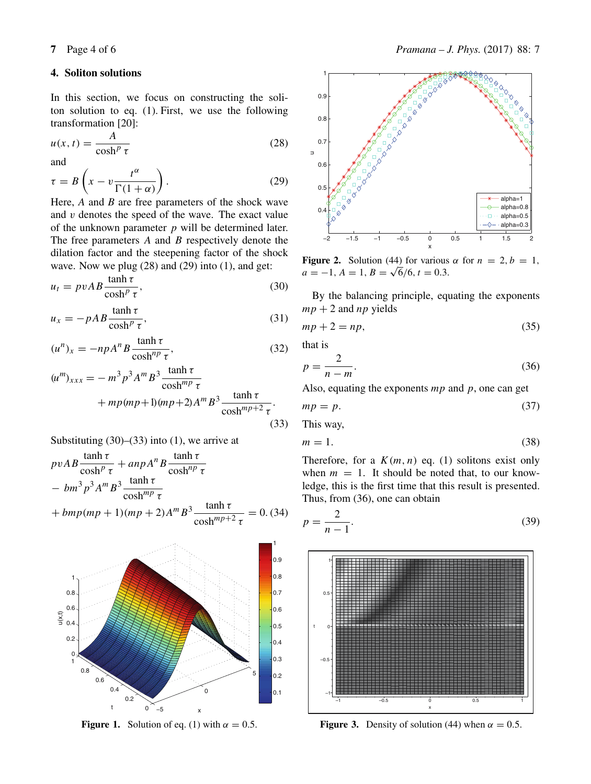### **4. Soliton solutions**

In this section, we focus on constructing the soliton solution to eq. (1). First, we use the following transformation [20]:

$$
u(x,t) = \frac{A}{\cosh^p \tau}
$$
 (28)

and

$$
\tau = B\left(x - v \frac{t^{\alpha}}{\Gamma(1 + \alpha)}\right).
$$
\n(29)

\nHere, *A* and *B* are free parameters of the shock wave.

and  $v$  denotes the speed of the wave. The exact value of the unknown parameter  $p$  will be determined later. The free parameters  $A$  and  $B$  respectively denote the dilation factor and the steepening factor of the shock wave. Now we plug  $(28)$  and  $(29)$  into  $(1)$ , and get:

$$
u_t = p v A B \frac{\tanh \tau}{\cosh^p \tau},\tag{30}
$$

$$
u_x = -pAB \frac{\tanh \tau}{\cosh^p \tau},
$$
\n(31)

$$
(u^n)_x = -npA^nB \frac{\tanh \tau}{\cosh^{np} \tau},
$$
\n(32)

$$
(um)xxx = -m3 p3 Am B3 \frac{\tanh \tau}{\coshmp \tau}
$$
  
+ 
$$
mp (mp+1)(mp+2) Am B3 \frac{\tanh \tau}{\coshmp+2 \tau}
$$
. (33)

Substituting  $(30)$ – $(33)$  into  $(1)$ , we arrive at

$$
pvAB \frac{\tanh \tau}{\cosh^p \tau} + anpA^nB \frac{\tanh \tau}{\cosh^{np} \tau}
$$
  
- 
$$
bm^3 p^3 A^m B^3 \frac{\tanh \tau}{\cosh^{mp} \tau}
$$
  
+ 
$$
bmp (mp + 1)(mp + 2)A^m B^3 \frac{\tanh \tau}{\cosh^{mp+2} \tau} = 0. (34)
$$



**Figure 1.** Solution of eq. (1) with  $\alpha = 0.5$ .



**Figure 2.** Solution (44) for various  $\alpha$  for  $n = 2, b = 1$ ,  $a = -1, A = 1, B = \sqrt{6}/6, t = 0.3.$ 

By the balancing principle, equating the exponents  $mp + 2$  and  $np$  yields<br> $mn + 2 = nn$ 

$$
mp + 2 = np,\t\t(35)
$$

that is

$$
p = \frac{2}{n - m}.
$$
 (36)

Also, equating the exponents  $mp$  and  $p$ , one can get

$$
mp = p. \tag{37}
$$

This way,

$$
m = 1.\t(38)
$$

Therefore, for a  $K(m, n)$  eq. (1) solitons exist only when  $m = 1$ . It should be noted that, to our knowledge, this is the first time that this result is presented. Thus, from (36), one can obtain

$$
p = \frac{2}{n-1}.\tag{39}
$$



**Figure 3.** Density of solution (44) when  $\alpha = 0.5$ .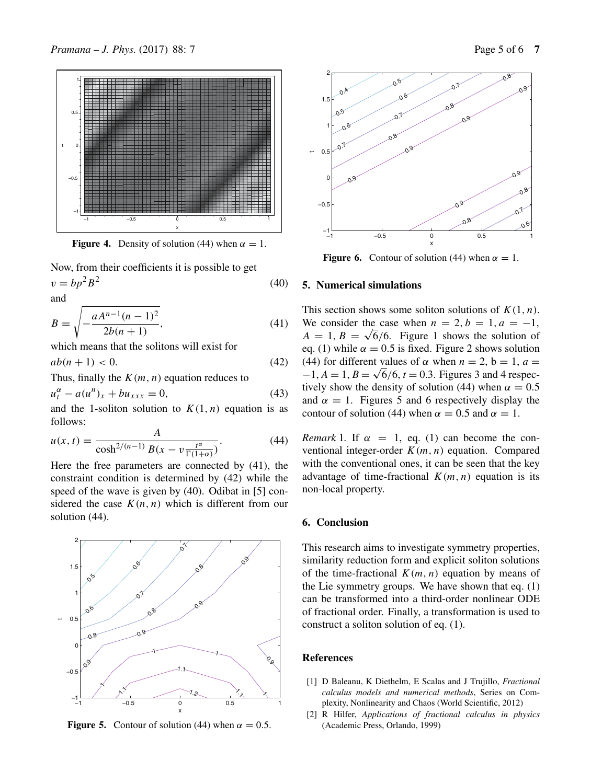

**Figure 4.** Density of solution (44) when  $\alpha = 1$ .

Now, from their coefficients it is possible to get  $v = b p^2 B^2$  (40)

and

$$
B = \sqrt{-\frac{aA^{n-1}(n-1)^2}{2b(n+1)}},
$$
  
which means that the solitons will exist for

$$
ab(n+1) < 0. \tag{42}
$$

Thus, finally the  $K(m, n)$  equation reduces to

$$
u_t^{\alpha} - a(u^n)_x + bu_{xxx} = 0,
$$
\n(43)

and the 1-soliton solution to  $K(1, n)$  equation is as follows: follows:

$$
u(x, t) = \frac{A}{\cosh^{2/(n-1)} B(x - v \frac{t^{\alpha}}{\Gamma(1+\alpha)})}.
$$
 (44)  
Here the free parameters are connected by (41), the

constraint condition is determined by (42) while the speed of the wave is given by (40). Odibat in [5] considered the case  $K(n, n)$  which is different from our solution (44).



**Figure 5.** Contour of solution (44) when  $\alpha = 0.5$ .



**Figure 6.** Contour of solution (44) when  $\alpha = 1$ .

#### **5. Numerical simulations**

This section shows some soliton solutions of  $K(1, n)$ . We consider the case when  $n = 2, b = 1, a = -1$ ,  $A = 1, B = \sqrt{6}/6$ . Figure 1 shows the solution of eq. (1) while  $\alpha = 0.5$  is fixed. Figure 2 shows solution (44) for different values of  $\alpha$  when  $n = 2$ ,  $b = 1$ ,  $a =$  $-1, A = 1, B = \sqrt{6}/6, t = 0.3$ . Figures 3 and 4 respectively show the density of solution (44) when  $\alpha = 0.5$ and  $\alpha = 1$ . Figures 5 and 6 respectively display the contour of solution (44) when  $\alpha = 0.5$  and  $\alpha = 1$ .

*Remark* 1. If  $\alpha = 1$ , eq. (1) can become the conventional integer-order  $K(m, n)$  equation. Compared with the conventional ones, it can be seen that the key advantage of time-fractional  $K(m, n)$  equation is its non-local property.

#### **6. Conclusion**

This research aims to investigate symmetry properties, similarity reduction form and explicit soliton solutions of the time-fractional  $K(m, n)$  equation by means of the Lie symmetry groups. We have shown that eq. (1) can be transformed into a third-order nonlinear ODE of fractional order. Finally, a transformation is used to construct a soliton solution of eq. (1).

#### **References**

- [1] D Baleanu, K Diethelm, E Scalas and J Trujillo, *Fractional calculus models and numerical methods*, Series on Complexity, Nonlinearity and Chaos (World Scientific, 2012)
- [2] R Hilfer, *Applications of fractional calculus in physics* (Academic Press, Orlando, 1999)